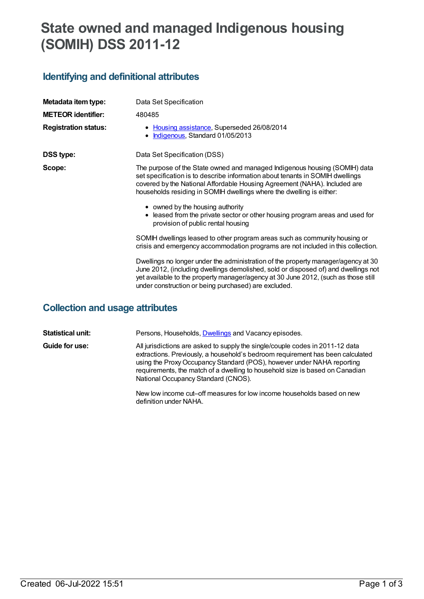# **State owned and managed Indigenous housing (SOMIH) DSS 2011-12**

### **Identifying and definitional attributes**

| Data Set Specification                                                                                                                                                                                                                                                                                                |
|-----------------------------------------------------------------------------------------------------------------------------------------------------------------------------------------------------------------------------------------------------------------------------------------------------------------------|
| 480485                                                                                                                                                                                                                                                                                                                |
| • Housing assistance, Superseded 26/08/2014<br>Indigenous, Standard 01/05/2013                                                                                                                                                                                                                                        |
| Data Set Specification (DSS)                                                                                                                                                                                                                                                                                          |
| The purpose of the State owned and managed Indigenous housing (SOMIH) data<br>set specification is to describe information about tenants in SOMIH dwellings<br>covered by the National Affordable Housing Agreement (NAHA). Included are<br>households residing in SOMIH dwellings where the dwelling is either:      |
| • owned by the housing authority<br>• leased from the private sector or other housing program areas and used for<br>provision of public rental housing                                                                                                                                                                |
| SOMIH dwellings leased to other program areas such as community housing or<br>crisis and emergency accommodation programs are not included in this collection.                                                                                                                                                        |
| Dwellings no longer under the administration of the property manager/agency at 30<br>June 2012, (including dwellings demolished, sold or disposed of) and dwellings not<br>yet available to the property manager/agency at 30 June 2012, (such as those still<br>under construction or being purchased) are excluded. |
|                                                                                                                                                                                                                                                                                                                       |

#### **Collection and usage attributes**

**Statistical unit:** Persons, Households, **[Dwellings](file:///content/268982) and Vacancy episodes. Guide for use:** All jurisdictions are asked to supply the single/couple codes in 2011-12 data extractions. Previously, a household's bedroom requirement has been calculated using the ProxyOccupancy Standard (POS), however under NAHA reporting requirements, the match of a dwelling to household size is based on Canadian National Occupancy Standard (CNOS).

New low income cut–off measures for low income households based on new definition under NAHA.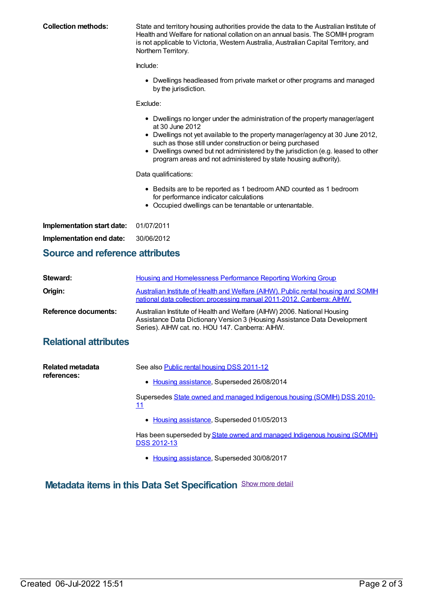| <b>Collection methods:</b>            | State and territory housing authorities provide the data to the Australian Institute of<br>Health and Welfare for national collation on an annual basis. The SOMIH program<br>is not applicable to Victoria, Western Australia, Australian Capital Territory, and<br>Northern Territory.                                                                                                            |
|---------------------------------------|-----------------------------------------------------------------------------------------------------------------------------------------------------------------------------------------------------------------------------------------------------------------------------------------------------------------------------------------------------------------------------------------------------|
|                                       | Include:                                                                                                                                                                                                                                                                                                                                                                                            |
|                                       | Dwellings headleased from private market or other programs and managed<br>$\bullet$<br>by the jurisdiction.                                                                                                                                                                                                                                                                                         |
|                                       | Exclude:                                                                                                                                                                                                                                                                                                                                                                                            |
|                                       | Dwellings no longer under the administration of the property manager/agent<br>٠<br>at 30 June 2012<br>Dwellings not yet available to the property manager/agency at 30 June 2012,<br>such as those still under construction or being purchased<br>Dwellings owned but not administered by the jurisdiction (e.g. leased to other<br>program areas and not administered by state housing authority). |
|                                       | Data qualifications:                                                                                                                                                                                                                                                                                                                                                                                |
|                                       | • Bedsits are to be reported as 1 bedroom AND counted as 1 bedroom<br>for performance indicator calculations<br>Occupied dwellings can be tenantable or untenantable.                                                                                                                                                                                                                               |
| Implementation start date: 01/07/2011 |                                                                                                                                                                                                                                                                                                                                                                                                     |

**Implementation end date:** 30/06/2012

#### **Source and reference attributes**

| Steward:                    | Housing and Homelessness Performance Reporting Working Group                                                                                                                                             |
|-----------------------------|----------------------------------------------------------------------------------------------------------------------------------------------------------------------------------------------------------|
| Origin:                     | Australian Institute of Health and Welfare (AIHW). Public rental housing and SOMIH<br>national data collection: processing manual 2011-2012. Canberra: AIHW.                                             |
| <b>Reference documents:</b> | Australian Institute of Health and Welfare (AIHW) 2006. National Housing<br>Assistance Data Dictionary Version 3 (Housing Assistance Data Development<br>Series). AIHW cat. no. HOU 147. Canberra: AIHW. |

## **Relational attributes**

| Related metadata<br>references: | See also Public rental housing DSS 2011-12<br>• Housing assistance, Superseded 26/08/2014       |
|---------------------------------|-------------------------------------------------------------------------------------------------|
|                                 | Supersedes State owned and managed Indigenous housing (SOMIH) DSS 2010-<br>11                   |
|                                 | • Housing assistance, Superseded 01/05/2013                                                     |
|                                 | Has been superseded by State owned and managed Indigenous housing (SOMIH)<br><b>DSS 2012-13</b> |

• Housing [assistance](https://meteor.aihw.gov.au/RegistrationAuthority/11), Superseded 30/08/2017

# **Metadata items in this Data Set Specification** Show more detail